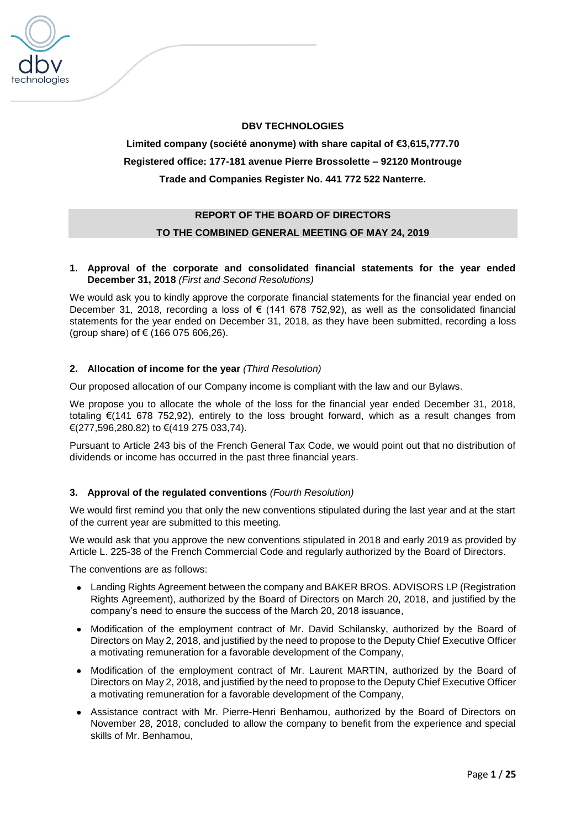

# **DBV TECHNOLOGIES**

# **Limited company (société anonyme) with share capital of €3,615,777.70 Registered office: 177-181 avenue Pierre Brossolette – 92120 Montrouge Trade and Companies Register No. 441 772 522 Nanterre.**

# **REPORT OF THE BOARD OF DIRECTORS TO THE COMBINED GENERAL MEETING OF MAY 24, 2019**

# **1. Approval of the corporate and consolidated financial statements for the year ended December 31, 2018** *(First and Second Resolutions)*

We would ask you to kindly approve the corporate financial statements for the financial year ended on December 31, 2018, recording a loss of € (141 678 752,92), as well as the consolidated financial statements for the year ended on December 31, 2018, as they have been submitted, recording a loss (group share) of € (166 075 606,26).

# **2. Allocation of income for the year** *(Third Resolution)*

Our proposed allocation of our Company income is compliant with the law and our Bylaws.

We propose you to allocate the whole of the loss for the financial year ended December 31, 2018, totaling €(141 678 752,92), entirely to the loss brought forward, which as a result changes from €(277,596,280.82) to €(419 275 033,74).

Pursuant to Article 243 bis of the French General Tax Code, we would point out that no distribution of dividends or income has occurred in the past three financial years.

# **3. Approval of the regulated conventions** *(Fourth Resolution)*

We would first remind you that only the new conventions stipulated during the last year and at the start of the current year are submitted to this meeting.

We would ask that you approve the new conventions stipulated in 2018 and early 2019 as provided by Article L. 225-38 of the French Commercial Code and regularly authorized by the Board of Directors.

The conventions are as follows:

- Landing Rights Agreement between the company and BAKER BROS. ADVISORS LP (Registration Rights Agreement), authorized by the Board of Directors on March 20, 2018, and justified by the company's need to ensure the success of the March 20, 2018 issuance,
- Modification of the employment contract of Mr. David Schilansky, authorized by the Board of Directors on May 2, 2018, and justified by the need to propose to the Deputy Chief Executive Officer a motivating remuneration for a favorable development of the Company,
- Modification of the employment contract of Mr. Laurent MARTIN, authorized by the Board of Directors on May 2, 2018, and justified by the need to propose to the Deputy Chief Executive Officer a motivating remuneration for a favorable development of the Company,
- Assistance contract with Mr. Pierre-Henri Benhamou, authorized by the Board of Directors on November 28, 2018, concluded to allow the company to benefit from the experience and special skills of Mr. Benhamou,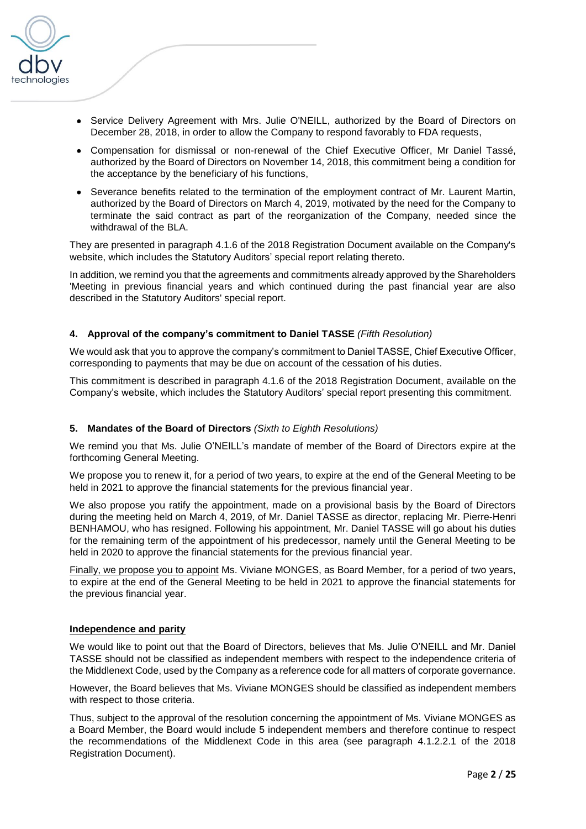

- Service Delivery Agreement with Mrs. Julie O'NEILL, authorized by the Board of Directors on December 28, 2018, in order to allow the Company to respond favorably to FDA requests,
- Compensation for dismissal or non-renewal of the Chief Executive Officer, Mr Daniel Tassé, authorized by the Board of Directors on November 14, 2018, this commitment being a condition for the acceptance by the beneficiary of his functions,
- Severance benefits related to the termination of the employment contract of Mr. Laurent Martin, authorized by the Board of Directors on March 4, 2019, motivated by the need for the Company to terminate the said contract as part of the reorganization of the Company, needed since the withdrawal of the BLA.

They are presented in paragraph 4.1.6 of the 2018 Registration Document available on the Company's website, which includes the Statutory Auditors' special report relating thereto.

In addition, we remind you that the agreements and commitments already approved by the Shareholders 'Meeting in previous financial years and which continued during the past financial year are also described in the Statutory Auditors' special report.

### **4. Approval of the company's commitment to Daniel TASSE** *(Fifth Resolution)*

We would ask that you to approve the company's commitment to Daniel TASSE, Chief Executive Officer, corresponding to payments that may be due on account of the cessation of his duties.

This commitment is described in paragraph 4.1.6 of the 2018 Registration Document, available on the Company's website, which includes the Statutory Auditors' special report presenting this commitment.

### **5. Mandates of the Board of Directors** *(Sixth to Eighth Resolutions)*

We remind you that Ms. Julie O'NEILL's mandate of member of the Board of Directors expire at the forthcoming General Meeting.

We propose you to renew it, for a period of two years, to expire at the end of the General Meeting to be held in 2021 to approve the financial statements for the previous financial year.

We also propose you ratify the appointment, made on a provisional basis by the Board of Directors during the meeting held on March 4, 2019, of Mr. Daniel TASSE as director, replacing Mr. Pierre-Henri BENHAMOU, who has resigned. Following his appointment, Mr. Daniel TASSE will go about his duties for the remaining term of the appointment of his predecessor, namely until the General Meeting to be held in 2020 to approve the financial statements for the previous financial year.

Finally, we propose you to appoint Ms. Viviane MONGES, as Board Member, for a period of two years, to expire at the end of the General Meeting to be held in 2021 to approve the financial statements for the previous financial year.

### **Independence and parity**

We would like to point out that the Board of Directors, believes that Ms. Julie O'NEILL and Mr. Daniel TASSE should not be classified as independent members with respect to the independence criteria of the Middlenext Code, used by the Company as a reference code for all matters of corporate governance.

However, the Board believes that Ms. Viviane MONGES should be classified as independent members with respect to those criteria.

Thus, subject to the approval of the resolution concerning the appointment of Ms. Viviane MONGES as a Board Member, the Board would include 5 independent members and therefore continue to respect the recommendations of the Middlenext Code in this area (see paragraph 4.1.2.2.1 of the 2018 Registration Document).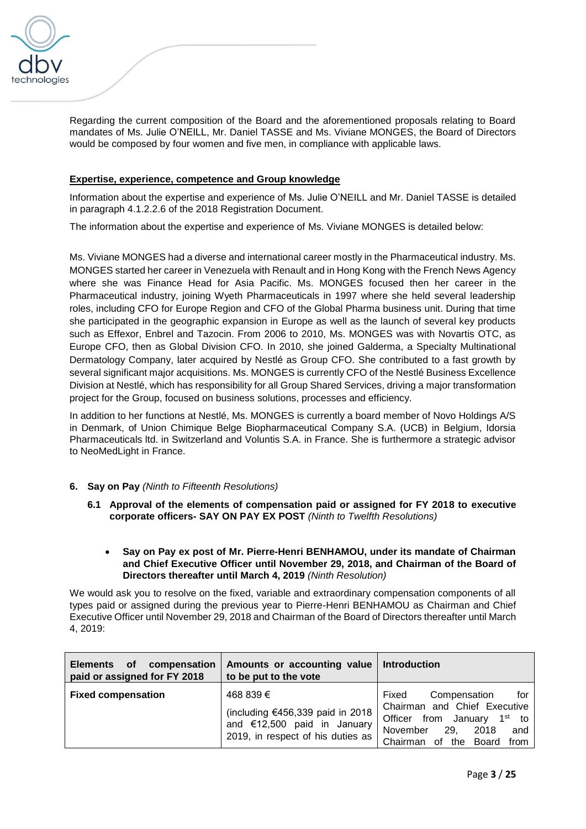

Regarding the current composition of the Board and the aforementioned proposals relating to Board mandates of Ms. Julie O'NEILL, Mr. Daniel TASSE and Ms. Viviane MONGES, the Board of Directors would be composed by four women and five men, in compliance with applicable laws.

# **Expertise, experience, competence and Group knowledge**

Information about the expertise and experience of Ms. Julie O'NEILL and Mr. Daniel TASSE is detailed in paragraph 4.1.2.2.6 of the 2018 Registration Document.

The information about the expertise and experience of Ms. Viviane MONGES is detailed below:

Ms. Viviane MONGES had a diverse and international career mostly in the Pharmaceutical industry. Ms. MONGES started her career in Venezuela with Renault and in Hong Kong with the French News Agency where she was Finance Head for Asia Pacific. Ms. MONGES focused then her career in the Pharmaceutical industry, joining Wyeth Pharmaceuticals in 1997 where she held several leadership roles, including CFO for Europe Region and CFO of the Global Pharma business unit. During that time she participated in the geographic expansion in Europe as well as the launch of several key products such as Effexor, Enbrel and Tazocin. From 2006 to 2010, Ms. MONGES was with Novartis OTC, as Europe CFO, then as Global Division CFO. In 2010, she joined Galderma, a Specialty Multinational Dermatology Company, later acquired by Nestlé as Group CFO. She contributed to a fast growth by several significant major acquisitions. Ms. MONGES is currently CFO of the Nestlé Business Excellence Division at Nestlé, which has responsibility for all Group Shared Services, driving a major transformation project for the Group, focused on business solutions, processes and efficiency.

In addition to her functions at Nestlé, Ms. MONGES is currently a board member of Novo Holdings A/S in Denmark, of Union Chimique Belge Biopharmaceutical Company S.A. (UCB) in Belgium, Idorsia Pharmaceuticals ltd. in Switzerland and Voluntis S.A. in France. She is furthermore a strategic advisor to NeoMedLight in France.

# **6. Say on Pay** *(Ninth to Fifteenth Resolutions)*

- **6.1 Approval of the elements of compensation paid or assigned for FY 2018 to executive corporate officers- SAY ON PAY EX POST** *(Ninth to Twelfth Resolutions)*
	- **Say on Pay ex post of Mr. Pierre-Henri BENHAMOU, under its mandate of Chairman and Chief Executive Officer until November 29, 2018, and Chairman of the Board of Directors thereafter until March 4, 2019** *(Ninth Resolution)*

We would ask you to resolve on the fixed, variable and extraordinary compensation components of all types paid or assigned during the previous year to Pierre-Henri BENHAMOU as Chairman and Chief Executive Officer until November 29, 2018 and Chairman of the Board of Directors thereafter until March 4, 2019:

| compensation<br><b>of</b><br><b>Elements</b><br>paid or assigned for FY 2018 | Amounts or accounting value<br>to be put to the vote                                                                | Introduction                                                                                                                                                                  |
|------------------------------------------------------------------------------|---------------------------------------------------------------------------------------------------------------------|-------------------------------------------------------------------------------------------------------------------------------------------------------------------------------|
| <b>Fixed compensation</b>                                                    | 468 839 €<br>(including $€456,339$ paid in 2018<br>and €12,500 paid in January<br>2019, in respect of his duties as | Compensation<br>for<br>Fixed<br>Chairman and Chief Executive<br>Officer from January 1 <sup>st</sup> to<br>November<br>29.<br>2018<br>and<br>Chairman<br>of the Board<br>from |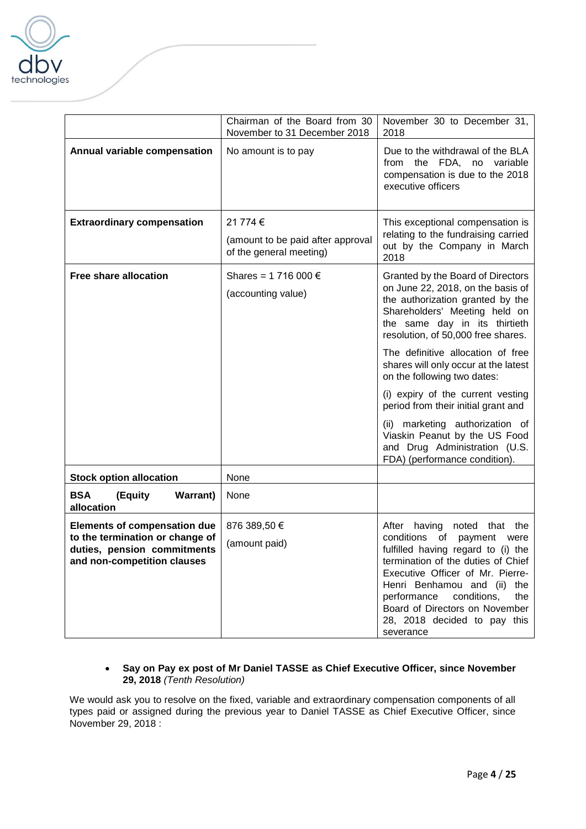

|                                                                                               | Chairman of the Board from 30<br>November to 31 December 2018            | November 30 to December 31,<br>2018                                                                                                                                                                                                                                                                    |
|-----------------------------------------------------------------------------------------------|--------------------------------------------------------------------------|--------------------------------------------------------------------------------------------------------------------------------------------------------------------------------------------------------------------------------------------------------------------------------------------------------|
| Annual variable compensation                                                                  | No amount is to pay                                                      | Due to the withdrawal of the BLA<br>from the FDA, no variable<br>compensation is due to the 2018<br>executive officers                                                                                                                                                                                 |
| <b>Extraordinary compensation</b>                                                             | 21 774 €<br>(amount to be paid after approval<br>of the general meeting) | This exceptional compensation is<br>relating to the fundraising carried<br>out by the Company in March<br>2018                                                                                                                                                                                         |
| <b>Free share allocation</b>                                                                  | Shares = 1 716 000 €<br>(accounting value)                               | Granted by the Board of Directors<br>on June 22, 2018, on the basis of<br>the authorization granted by the<br>Shareholders' Meeting held on<br>the same day in its thirtieth<br>resolution, of 50,000 free shares.                                                                                     |
|                                                                                               |                                                                          | The definitive allocation of free<br>shares will only occur at the latest<br>on the following two dates:                                                                                                                                                                                               |
|                                                                                               |                                                                          | (i) expiry of the current vesting<br>period from their initial grant and                                                                                                                                                                                                                               |
|                                                                                               |                                                                          | (ii) marketing authorization of<br>Viaskin Peanut by the US Food<br>and Drug Administration (U.S.<br>FDA) (performance condition).                                                                                                                                                                     |
| <b>Stock option allocation</b>                                                                | None                                                                     |                                                                                                                                                                                                                                                                                                        |
| <b>BSA</b><br>(Equity<br><b>Warrant</b> )<br>allocation                                       | None                                                                     |                                                                                                                                                                                                                                                                                                        |
| <b>Elements of compensation due</b>                                                           | 876 389,50 €                                                             | After having<br>noted<br>that<br>the                                                                                                                                                                                                                                                                   |
| to the termination or change of<br>duties, pension commitments<br>and non-competition clauses | (amount paid)                                                            | conditions<br>of<br>payment<br>were<br>fulfilled having regard to (i) the<br>termination of the duties of Chief<br>Executive Officer of Mr. Pierre-<br>Henri Benhamou and (ii) the<br>conditions,<br>performance<br>the<br>Board of Directors on November<br>28, 2018 decided to pay this<br>severance |

# • **Say on Pay ex post of Mr Daniel TASSE as Chief Executive Officer, since November 29, 2018** *(Tenth Resolution)*

We would ask you to resolve on the fixed, variable and extraordinary compensation components of all types paid or assigned during the previous year to Daniel TASSE as Chief Executive Officer, since November 29, 2018 :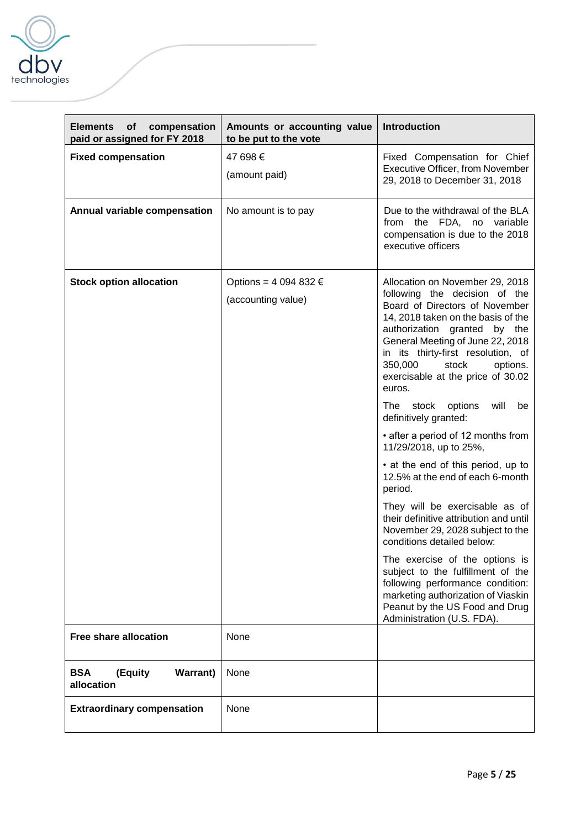

| <b>Elements</b><br>of<br>compensation<br>paid or assigned for FY 2018 | Amounts or accounting value<br>to be put to the vote | <b>Introduction</b>                                                                                                                                                                                                                                                                                                                                                                                                                                                                                    |
|-----------------------------------------------------------------------|------------------------------------------------------|--------------------------------------------------------------------------------------------------------------------------------------------------------------------------------------------------------------------------------------------------------------------------------------------------------------------------------------------------------------------------------------------------------------------------------------------------------------------------------------------------------|
| <b>Fixed compensation</b>                                             | 47 698 €<br>(amount paid)                            | Fixed Compensation for Chief<br>Executive Officer, from November<br>29, 2018 to December 31, 2018                                                                                                                                                                                                                                                                                                                                                                                                      |
| Annual variable compensation                                          | No amount is to pay                                  | Due to the withdrawal of the BLA<br>from the FDA, no variable<br>compensation is due to the 2018<br>executive officers                                                                                                                                                                                                                                                                                                                                                                                 |
| <b>Stock option allocation</b>                                        | Options = 4 094 832 €<br>(accounting value)          | Allocation on November 29, 2018<br>following the decision of the<br>Board of Directors of November<br>14, 2018 taken on the basis of the<br>authorization granted by the<br>General Meeting of June 22, 2018<br>in its thirty-first resolution, of<br>350,000<br>stock<br>options.<br>exercisable at the price of 30.02<br>euros.<br>stock options<br>will<br>The<br>be<br>definitively granted:<br>• after a period of 12 months from<br>11/29/2018, up to 25%,<br>• at the end of this period, up to |
|                                                                       |                                                      | 12.5% at the end of each 6-month<br>period.<br>They will be exercisable as of<br>their definitive attribution and until<br>November 29, 2028 subject to the<br>conditions detailed below:<br>The exercise of the options is<br>subject to the fulfillment of the<br>following performance condition:<br>marketing authorization of Viaskin<br>Peanut by the US Food and Drug                                                                                                                           |
| <b>Free share allocation</b>                                          | None                                                 | Administration (U.S. FDA).                                                                                                                                                                                                                                                                                                                                                                                                                                                                             |
| <b>BSA</b><br>(Equity<br><b>Warrant</b> )<br>allocation               | None                                                 |                                                                                                                                                                                                                                                                                                                                                                                                                                                                                                        |
| <b>Extraordinary compensation</b>                                     | None                                                 |                                                                                                                                                                                                                                                                                                                                                                                                                                                                                                        |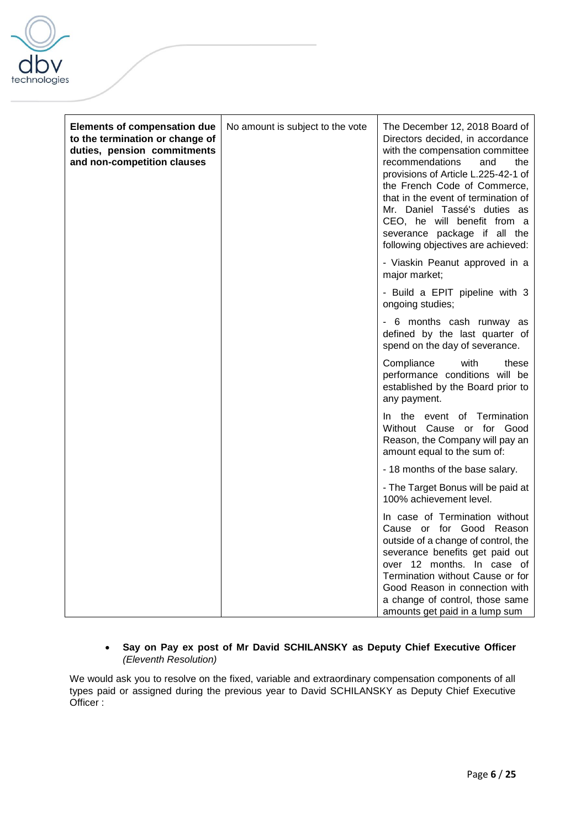

| <b>Elements of compensation due</b><br>to the termination or change of<br>duties, pension commitments<br>and non-competition clauses | No amount is subject to the vote | The December 12, 2018 Board of<br>Directors decided, in accordance<br>with the compensation committee<br>recommendations<br>and<br>the<br>provisions of Article L.225-42-1 of<br>the French Code of Commerce,<br>that in the event of termination of<br>Mr. Daniel Tassé's duties as<br>CEO, he will benefit from a<br>severance package if all the<br>following objectives are achieved: |
|--------------------------------------------------------------------------------------------------------------------------------------|----------------------------------|-------------------------------------------------------------------------------------------------------------------------------------------------------------------------------------------------------------------------------------------------------------------------------------------------------------------------------------------------------------------------------------------|
|                                                                                                                                      |                                  | - Viaskin Peanut approved in a<br>major market;                                                                                                                                                                                                                                                                                                                                           |
|                                                                                                                                      |                                  | - Build a EPIT pipeline with 3<br>ongoing studies;                                                                                                                                                                                                                                                                                                                                        |
|                                                                                                                                      |                                  | - 6 months cash runway as<br>defined by the last quarter of<br>spend on the day of severance.                                                                                                                                                                                                                                                                                             |
|                                                                                                                                      |                                  | Compliance<br>with<br>these<br>performance conditions will be<br>established by the Board prior to<br>any payment.                                                                                                                                                                                                                                                                        |
|                                                                                                                                      |                                  | In the event of Termination<br>Without Cause or for Good<br>Reason, the Company will pay an<br>amount equal to the sum of:                                                                                                                                                                                                                                                                |
|                                                                                                                                      |                                  | - 18 months of the base salary.                                                                                                                                                                                                                                                                                                                                                           |
|                                                                                                                                      |                                  | - The Target Bonus will be paid at<br>100% achievement level.                                                                                                                                                                                                                                                                                                                             |
|                                                                                                                                      |                                  | In case of Termination without<br>Cause or for Good Reason<br>outside of a change of control, the<br>severance benefits get paid out<br>over 12 months. In case of<br>Termination without Cause or for<br>Good Reason in connection with<br>a change of control, those same<br>amounts get paid in a lump sum                                                                             |

# • **Say on Pay ex post of Mr David SCHILANSKY as Deputy Chief Executive Officer** *(Eleventh Resolution)*

We would ask you to resolve on the fixed, variable and extraordinary compensation components of all types paid or assigned during the previous year to David SCHILANSKY as Deputy Chief Executive Officer :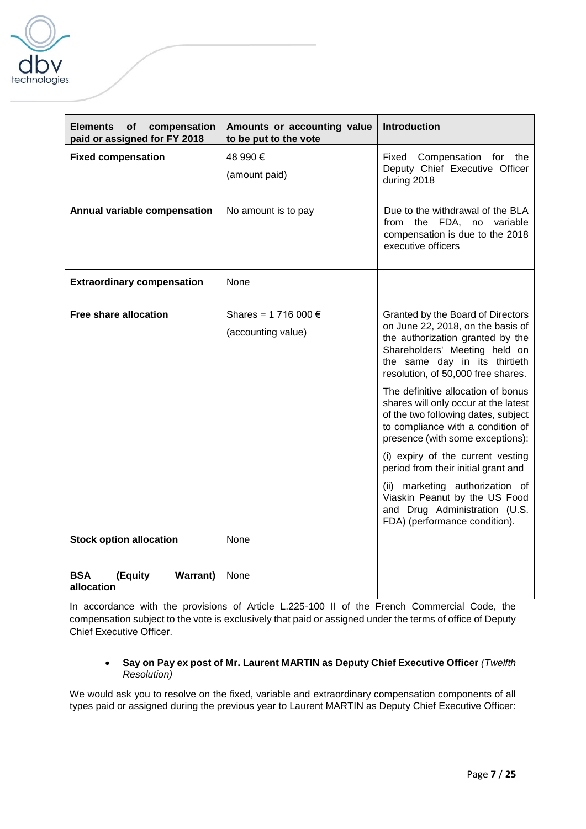

| <b>Elements</b><br><b>of</b><br>compensation<br>paid or assigned for FY 2018 | Amounts or accounting value<br>to be put to the vote | <b>Introduction</b>                                                                                                                                                                                                                                                                                                                                                                                                                                                                                                                                                                                                                |
|------------------------------------------------------------------------------|------------------------------------------------------|------------------------------------------------------------------------------------------------------------------------------------------------------------------------------------------------------------------------------------------------------------------------------------------------------------------------------------------------------------------------------------------------------------------------------------------------------------------------------------------------------------------------------------------------------------------------------------------------------------------------------------|
| <b>Fixed compensation</b>                                                    | 48 990 €<br>(amount paid)                            | Fixed<br>Compensation for<br>the<br>Deputy Chief Executive Officer<br>during 2018                                                                                                                                                                                                                                                                                                                                                                                                                                                                                                                                                  |
| Annual variable compensation                                                 | No amount is to pay                                  | Due to the withdrawal of the BLA<br>from the FDA, no variable<br>compensation is due to the 2018<br>executive officers                                                                                                                                                                                                                                                                                                                                                                                                                                                                                                             |
| <b>Extraordinary compensation</b>                                            | <b>None</b>                                          |                                                                                                                                                                                                                                                                                                                                                                                                                                                                                                                                                                                                                                    |
| Free share allocation                                                        | Shares = 1 716 000 €<br>(accounting value)           | Granted by the Board of Directors<br>on June 22, 2018, on the basis of<br>the authorization granted by the<br>Shareholders' Meeting held on<br>the same day in its thirtieth<br>resolution, of 50,000 free shares.<br>The definitive allocation of bonus<br>shares will only occur at the latest<br>of the two following dates, subject<br>to compliance with a condition of<br>presence (with some exceptions):<br>(i) expiry of the current vesting<br>period from their initial grant and<br>(ii) marketing authorization of<br>Viaskin Peanut by the US Food<br>and Drug Administration (U.S.<br>FDA) (performance condition). |
| <b>Stock option allocation</b>                                               | None                                                 |                                                                                                                                                                                                                                                                                                                                                                                                                                                                                                                                                                                                                                    |
| <b>BSA</b><br>(Equity<br><b>Warrant</b> )<br>allocation                      | None                                                 |                                                                                                                                                                                                                                                                                                                                                                                                                                                                                                                                                                                                                                    |

In accordance with the provisions of Article L.225-100 II of the French Commercial Code, the compensation subject to the vote is exclusively that paid or assigned under the terms of office of Deputy Chief Executive Officer.

# • **Say on Pay ex post of Mr. Laurent MARTIN as Deputy Chief Executive Officer** *(Twelfth Resolution)*

We would ask you to resolve on the fixed, variable and extraordinary compensation components of all types paid or assigned during the previous year to Laurent MARTIN as Deputy Chief Executive Officer: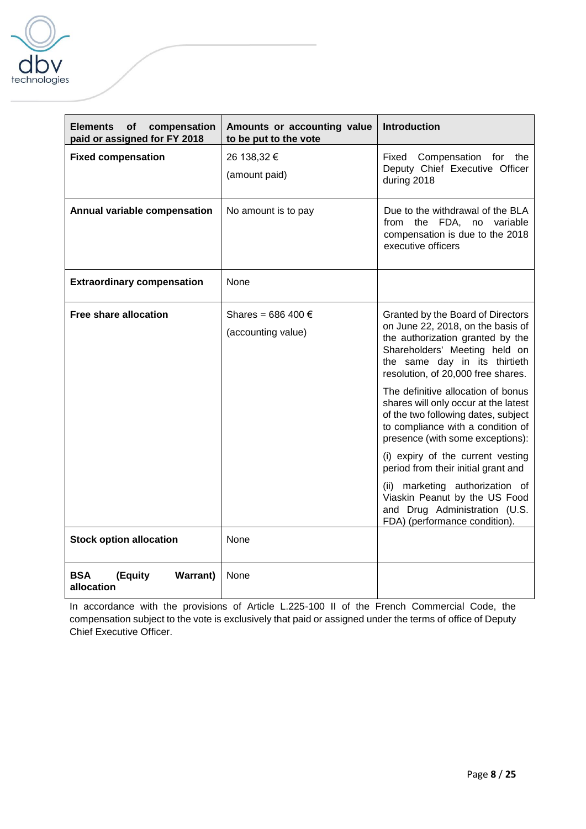

| <b>Elements</b><br>of<br>compensation<br>paid or assigned for FY 2018 | Amounts or accounting value<br>to be put to the vote | <b>Introduction</b>                                                                                                                                                                                                                                                                                                                                                                                                                                                                                                                                                                                                                |
|-----------------------------------------------------------------------|------------------------------------------------------|------------------------------------------------------------------------------------------------------------------------------------------------------------------------------------------------------------------------------------------------------------------------------------------------------------------------------------------------------------------------------------------------------------------------------------------------------------------------------------------------------------------------------------------------------------------------------------------------------------------------------------|
| <b>Fixed compensation</b>                                             | 26 138,32 €<br>(amount paid)                         | Fixed<br>Compensation for<br>the<br>Deputy Chief Executive Officer<br>during 2018                                                                                                                                                                                                                                                                                                                                                                                                                                                                                                                                                  |
| Annual variable compensation                                          | No amount is to pay                                  | Due to the withdrawal of the BLA<br>from the FDA, no variable<br>compensation is due to the 2018<br>executive officers                                                                                                                                                                                                                                                                                                                                                                                                                                                                                                             |
| <b>Extraordinary compensation</b>                                     | None                                                 |                                                                                                                                                                                                                                                                                                                                                                                                                                                                                                                                                                                                                                    |
| <b>Free share allocation</b>                                          | Shares = 686 400 €<br>(accounting value)             | Granted by the Board of Directors<br>on June 22, 2018, on the basis of<br>the authorization granted by the<br>Shareholders' Meeting held on<br>the same day in its thirtieth<br>resolution, of 20,000 free shares.<br>The definitive allocation of bonus<br>shares will only occur at the latest<br>of the two following dates, subject<br>to compliance with a condition of<br>presence (with some exceptions):<br>(i) expiry of the current vesting<br>period from their initial grant and<br>(ii) marketing authorization of<br>Viaskin Peanut by the US Food<br>and Drug Administration (U.S.<br>FDA) (performance condition). |
| <b>Stock option allocation</b>                                        | None                                                 |                                                                                                                                                                                                                                                                                                                                                                                                                                                                                                                                                                                                                                    |
| <b>BSA</b><br>(Equity<br><b>Warrant</b> )<br>allocation               | None                                                 |                                                                                                                                                                                                                                                                                                                                                                                                                                                                                                                                                                                                                                    |

In accordance with the provisions of Article L.225-100 II of the French Commercial Code, the compensation subject to the vote is exclusively that paid or assigned under the terms of office of Deputy Chief Executive Officer.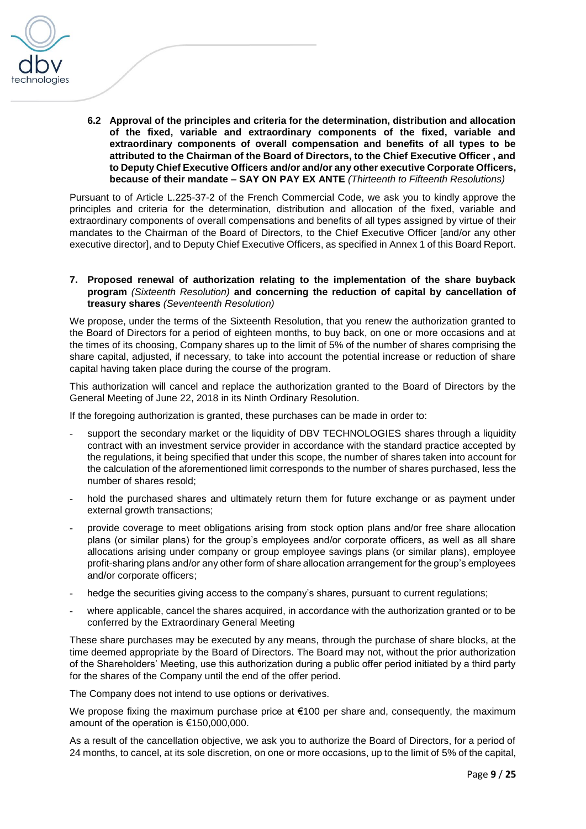

**6.2 Approval of the principles and criteria for the determination, distribution and allocation of the fixed, variable and extraordinary components of the fixed, variable and extraordinary components of overall compensation and benefits of all types to be attributed to the Chairman of the Board of Directors, to the Chief Executive Officer , and to Deputy Chief Executive Officers and/or and/or any other executive Corporate Officers, because of their mandate – SAY ON PAY EX ANTE** *(Thirteenth to Fifteenth Resolutions)*

Pursuant to of Article L.225-37-2 of the French Commercial Code, we ask you to kindly approve the principles and criteria for the determination, distribution and allocation of the fixed, variable and extraordinary components of overall compensations and benefits of all types assigned by virtue of their mandates to the Chairman of the Board of Directors, to the Chief Executive Officer [and/or any other executive director], and to Deputy Chief Executive Officers, as specified in Annex 1 of this Board Report.

**7. Proposed renewal of authorization relating to the implementation of the share buyback program** *(Sixteenth Resolution)* **and concerning the reduction of capital by cancellation of treasury shares** *(Seventeenth Resolution)*

We propose, under the terms of the Sixteenth Resolution, that you renew the authorization granted to the Board of Directors for a period of eighteen months, to buy back, on one or more occasions and at the times of its choosing, Company shares up to the limit of 5% of the number of shares comprising the share capital, adjusted, if necessary, to take into account the potential increase or reduction of share capital having taken place during the course of the program.

This authorization will cancel and replace the authorization granted to the Board of Directors by the General Meeting of June 22, 2018 in its Ninth Ordinary Resolution.

If the foregoing authorization is granted, these purchases can be made in order to:

- support the secondary market or the liquidity of DBV TECHNOLOGIES shares through a liquidity contract with an investment service provider in accordance with the standard practice accepted by the regulations, it being specified that under this scope, the number of shares taken into account for the calculation of the aforementioned limit corresponds to the number of shares purchased, less the number of shares resold;
- hold the purchased shares and ultimately return them for future exchange or as payment under external growth transactions;
- provide coverage to meet obligations arising from stock option plans and/or free share allocation plans (or similar plans) for the group's employees and/or corporate officers, as well as all share allocations arising under company or group employee savings plans (or similar plans), employee profit-sharing plans and/or any other form of share allocation arrangement for the group's employees and/or corporate officers;
- hedge the securities giving access to the company's shares, pursuant to current regulations;
- where applicable, cancel the shares acquired, in accordance with the authorization granted or to be conferred by the Extraordinary General Meeting

These share purchases may be executed by any means, through the purchase of share blocks, at the time deemed appropriate by the Board of Directors. The Board may not, without the prior authorization of the Shareholders' Meeting, use this authorization during a public offer period initiated by a third party for the shares of the Company until the end of the offer period.

The Company does not intend to use options or derivatives.

We propose fixing the maximum purchase price at  $€100$  per share and, consequently, the maximum amount of the operation is €150,000,000.

As a result of the cancellation objective, we ask you to authorize the Board of Directors, for a period of 24 months, to cancel, at its sole discretion, on one or more occasions, up to the limit of 5% of the capital,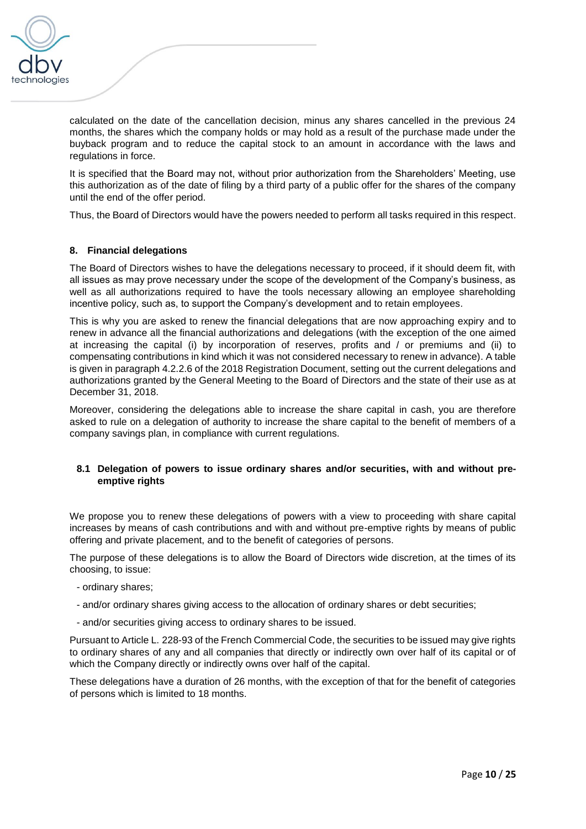

calculated on the date of the cancellation decision, minus any shares cancelled in the previous 24 months, the shares which the company holds or may hold as a result of the purchase made under the buyback program and to reduce the capital stock to an amount in accordance with the laws and regulations in force.

It is specified that the Board may not, without prior authorization from the Shareholders' Meeting, use this authorization as of the date of filing by a third party of a public offer for the shares of the company until the end of the offer period.

Thus, the Board of Directors would have the powers needed to perform all tasks required in this respect.

### **8. Financial delegations**

The Board of Directors wishes to have the delegations necessary to proceed, if it should deem fit, with all issues as may prove necessary under the scope of the development of the Company's business, as well as all authorizations required to have the tools necessary allowing an employee shareholding incentive policy, such as, to support the Company's development and to retain employees.

This is why you are asked to renew the financial delegations that are now approaching expiry and to renew in advance all the financial authorizations and delegations (with the exception of the one aimed at increasing the capital (i) by incorporation of reserves, profits and / or premiums and (ii) to compensating contributions in kind which it was not considered necessary to renew in advance). A table is given in paragraph 4.2.2.6 of the 2018 Registration Document, setting out the current delegations and authorizations granted by the General Meeting to the Board of Directors and the state of their use as at December 31, 2018.

Moreover, considering the delegations able to increase the share capital in cash, you are therefore asked to rule on a delegation of authority to increase the share capital to the benefit of members of a company savings plan, in compliance with current regulations.

### **8.1 Delegation of powers to issue ordinary shares and/or securities, with and without preemptive rights**

We propose you to renew these delegations of powers with a view to proceeding with share capital increases by means of cash contributions and with and without pre-emptive rights by means of public offering and private placement, and to the benefit of categories of persons.

The purpose of these delegations is to allow the Board of Directors wide discretion, at the times of its choosing, to issue:

- ordinary shares;
- and/or ordinary shares giving access to the allocation of ordinary shares or debt securities;
- and/or securities giving access to ordinary shares to be issued.

Pursuant to Article L. 228-93 of the French Commercial Code, the securities to be issued may give rights to ordinary shares of any and all companies that directly or indirectly own over half of its capital or of which the Company directly or indirectly owns over half of the capital.

These delegations have a duration of 26 months, with the exception of that for the benefit of categories of persons which is limited to 18 months.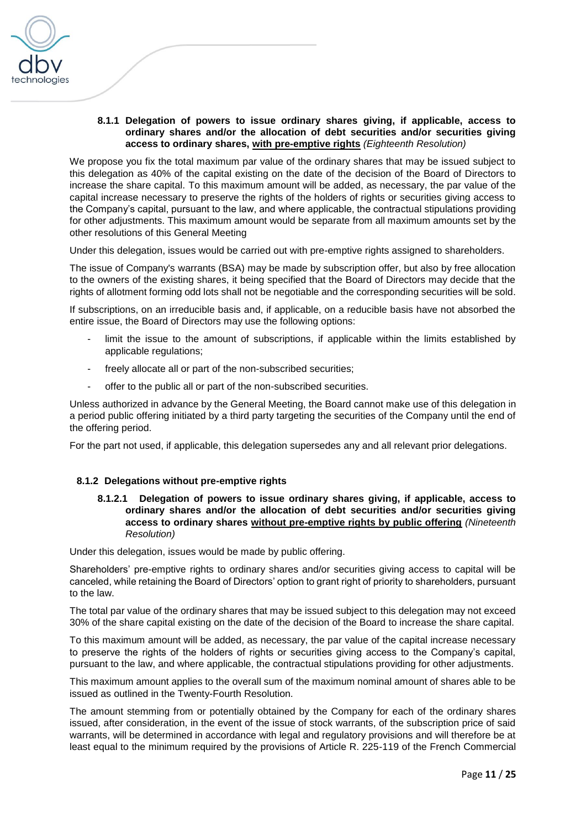

### **8.1.1 Delegation of powers to issue ordinary shares giving, if applicable, access to ordinary shares and/or the allocation of debt securities and/or securities giving access to ordinary shares, with pre-emptive rights** *(Eighteenth Resolution)*

We propose you fix the total maximum par value of the ordinary shares that may be issued subject to this delegation as 40% of the capital existing on the date of the decision of the Board of Directors to increase the share capital. To this maximum amount will be added, as necessary, the par value of the capital increase necessary to preserve the rights of the holders of rights or securities giving access to the Company's capital, pursuant to the law, and where applicable, the contractual stipulations providing for other adjustments. This maximum amount would be separate from all maximum amounts set by the other resolutions of this General Meeting

Under this delegation, issues would be carried out with pre-emptive rights assigned to shareholders.

The issue of Company's warrants (BSA) may be made by subscription offer, but also by free allocation to the owners of the existing shares, it being specified that the Board of Directors may decide that the rights of allotment forming odd lots shall not be negotiable and the corresponding securities will be sold.

If subscriptions, on an irreducible basis and, if applicable, on a reducible basis have not absorbed the entire issue, the Board of Directors may use the following options:

- limit the issue to the amount of subscriptions, if applicable within the limits established by applicable regulations;
- freely allocate all or part of the non-subscribed securities;
- offer to the public all or part of the non-subscribed securities.

Unless authorized in advance by the General Meeting, the Board cannot make use of this delegation in a period public offering initiated by a third party targeting the securities of the Company until the end of the offering period.

For the part not used, if applicable, this delegation supersedes any and all relevant prior delegations.

### **8.1.2 Delegations without pre-emptive rights**

**8.1.2.1 Delegation of powers to issue ordinary shares giving, if applicable, access to ordinary shares and/or the allocation of debt securities and/or securities giving access to ordinary shares without pre-emptive rights by public offering** *(Nineteenth Resolution)*

Under this delegation, issues would be made by public offering.

Shareholders' pre-emptive rights to ordinary shares and/or securities giving access to capital will be canceled, while retaining the Board of Directors' option to grant right of priority to shareholders, pursuant to the law.

The total par value of the ordinary shares that may be issued subject to this delegation may not exceed 30% of the share capital existing on the date of the decision of the Board to increase the share capital.

To this maximum amount will be added, as necessary, the par value of the capital increase necessary to preserve the rights of the holders of rights or securities giving access to the Company's capital, pursuant to the law, and where applicable, the contractual stipulations providing for other adjustments.

This maximum amount applies to the overall sum of the maximum nominal amount of shares able to be issued as outlined in the Twenty-Fourth Resolution.

The amount stemming from or potentially obtained by the Company for each of the ordinary shares issued, after consideration, in the event of the issue of stock warrants, of the subscription price of said warrants, will be determined in accordance with legal and regulatory provisions and will therefore be at least equal to the minimum required by the provisions of Article R. 225-119 of the French Commercial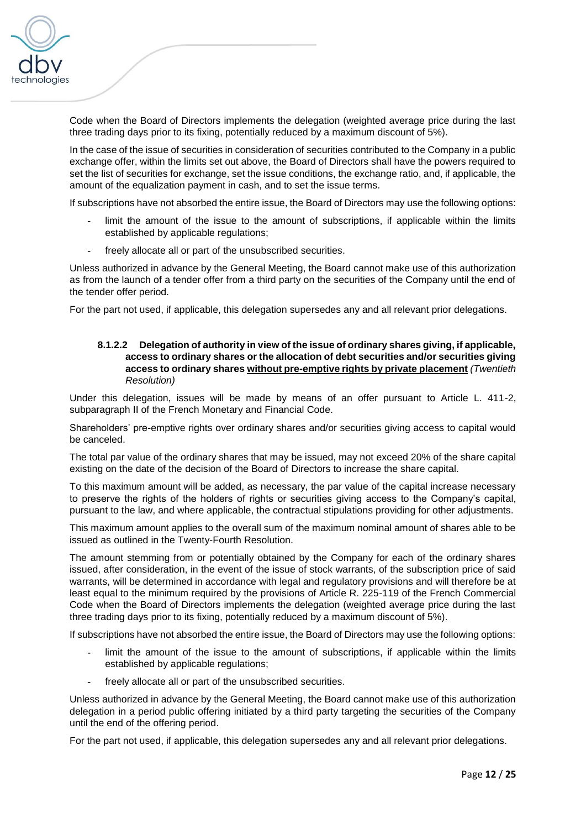

Code when the Board of Directors implements the delegation (weighted average price during the last three trading days prior to its fixing, potentially reduced by a maximum discount of 5%).

In the case of the issue of securities in consideration of securities contributed to the Company in a public exchange offer, within the limits set out above, the Board of Directors shall have the powers required to set the list of securities for exchange, set the issue conditions, the exchange ratio, and, if applicable, the amount of the equalization payment in cash, and to set the issue terms.

If subscriptions have not absorbed the entire issue, the Board of Directors may use the following options:

- **-** limit the amount of the issue to the amount of subscriptions, if applicable within the limits established by applicable regulations;
- **-** freely allocate all or part of the unsubscribed securities.

Unless authorized in advance by the General Meeting, the Board cannot make use of this authorization as from the launch of a tender offer from a third party on the securities of the Company until the end of the tender offer period.

For the part not used, if applicable, this delegation supersedes any and all relevant prior delegations.

# **8.1.2.2 Delegation of authority in view of the issue of ordinary shares giving, if applicable, access to ordinary shares or the allocation of debt securities and/or securities giving access to ordinary shares without pre-emptive rights by private placement** *(Twentieth Resolution)*

Under this delegation, issues will be made by means of an offer pursuant to Article L. 411-2, subparagraph II of the French Monetary and Financial Code.

Shareholders' pre-emptive rights over ordinary shares and/or securities giving access to capital would be canceled.

The total par value of the ordinary shares that may be issued, may not exceed 20% of the share capital existing on the date of the decision of the Board of Directors to increase the share capital.

To this maximum amount will be added, as necessary, the par value of the capital increase necessary to preserve the rights of the holders of rights or securities giving access to the Company's capital, pursuant to the law, and where applicable, the contractual stipulations providing for other adjustments.

This maximum amount applies to the overall sum of the maximum nominal amount of shares able to be issued as outlined in the Twenty-Fourth Resolution.

The amount stemming from or potentially obtained by the Company for each of the ordinary shares issued, after consideration, in the event of the issue of stock warrants, of the subscription price of said warrants, will be determined in accordance with legal and regulatory provisions and will therefore be at least equal to the minimum required by the provisions of Article R. 225-119 of the French Commercial Code when the Board of Directors implements the delegation (weighted average price during the last three trading days prior to its fixing, potentially reduced by a maximum discount of 5%).

If subscriptions have not absorbed the entire issue, the Board of Directors may use the following options:

- **-** limit the amount of the issue to the amount of subscriptions, if applicable within the limits established by applicable regulations;
- **-** freely allocate all or part of the unsubscribed securities.

Unless authorized in advance by the General Meeting, the Board cannot make use of this authorization delegation in a period public offering initiated by a third party targeting the securities of the Company until the end of the offering period.

For the part not used, if applicable, this delegation supersedes any and all relevant prior delegations.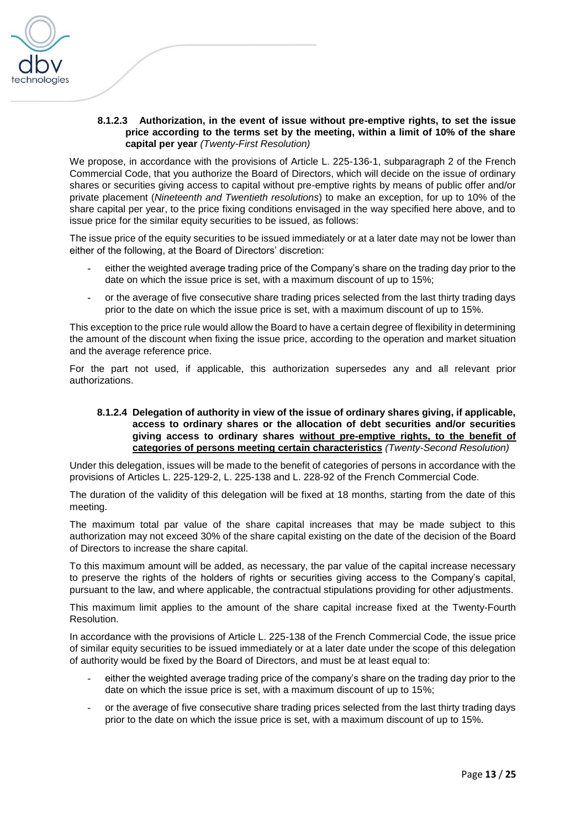

# **8.1.2.3 Authorization, in the event of issue without pre-emptive rights, to set the issue price according to the terms set by the meeting, within a limit of 10% of the share capital per year** *(Twenty-First Resolution)*

We propose, in accordance with the provisions of Article L. 225-136-1, subparagraph 2 of the French Commercial Code, that you authorize the Board of Directors, which will decide on the issue of ordinary shares or securities giving access to capital without pre-emptive rights by means of public offer and/or private placement (*Nineteenth and Twentieth resolutions*) to make an exception, for up to 10% of the share capital per year, to the price fixing conditions envisaged in the way specified here above, and to issue price for the similar equity securities to be issued, as follows:

The issue price of the equity securities to be issued immediately or at a later date may not be lower than either of the following, at the Board of Directors' discretion:

- **-** either the weighted average trading price of the Company's share on the trading day prior to the date on which the issue price is set, with a maximum discount of up to 15%;
- **-** or the average of five consecutive share trading prices selected from the last thirty trading days prior to the date on which the issue price is set, with a maximum discount of up to 15%.

This exception to the price rule would allow the Board to have a certain degree of flexibility in determining the amount of the discount when fixing the issue price, according to the operation and market situation and the average reference price.

For the part not used, if applicable, this authorization supersedes any and all relevant prior authorizations.

### **8.1.2.4 Delegation of authority in view of the issue of ordinary shares giving, if applicable, access to ordinary shares or the allocation of debt securities and/or securities giving access to ordinary shares without pre-emptive rights, to the benefit of categories of persons meeting certain characteristics** *(Twenty-Second Resolution)*

Under this delegation, issues will be made to the benefit of categories of persons in accordance with the provisions of Articles L. 225-129-2, L. 225-138 and L. 228-92 of the French Commercial Code.

The duration of the validity of this delegation will be fixed at 18 months, starting from the date of this meeting.

The maximum total par value of the share capital increases that may be made subject to this authorization may not exceed 30% of the share capital existing on the date of the decision of the Board of Directors to increase the share capital.

To this maximum amount will be added, as necessary, the par value of the capital increase necessary to preserve the rights of the holders of rights or securities giving access to the Company's capital, pursuant to the law, and where applicable, the contractual stipulations providing for other adjustments.

This maximum limit applies to the amount of the share capital increase fixed at the Twenty-Fourth Resolution.

In accordance with the provisions of Article L. 225-138 of the French Commercial Code, the issue price of similar equity securities to be issued immediately or at a later date under the scope of this delegation of authority would be fixed by the Board of Directors, and must be at least equal to:

- either the weighted average trading price of the company's share on the trading day prior to the date on which the issue price is set, with a maximum discount of up to 15%;
- or the average of five consecutive share trading prices selected from the last thirty trading days prior to the date on which the issue price is set, with a maximum discount of up to 15%.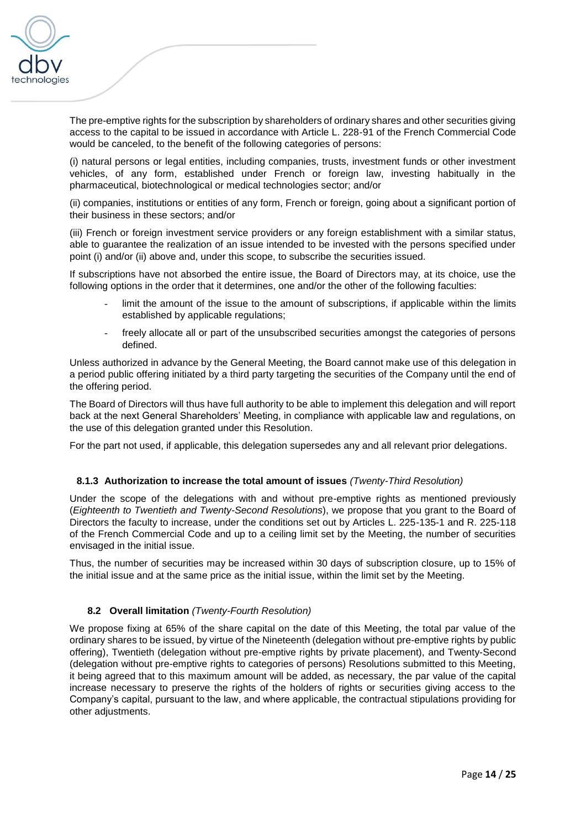

The pre-emptive rights for the subscription by shareholders of ordinary shares and other securities giving access to the capital to be issued in accordance with Article L. 228-91 of the French Commercial Code would be canceled, to the benefit of the following categories of persons:

(i) natural persons or legal entities, including companies, trusts, investment funds or other investment vehicles, of any form, established under French or foreign law, investing habitually in the pharmaceutical, biotechnological or medical technologies sector; and/or

(ii) companies, institutions or entities of any form, French or foreign, going about a significant portion of their business in these sectors; and/or

(iii) French or foreign investment service providers or any foreign establishment with a similar status, able to guarantee the realization of an issue intended to be invested with the persons specified under point (i) and/or (ii) above and, under this scope, to subscribe the securities issued.

If subscriptions have not absorbed the entire issue, the Board of Directors may, at its choice, use the following options in the order that it determines, one and/or the other of the following faculties:

- limit the amount of the issue to the amount of subscriptions, if applicable within the limits established by applicable regulations;
- freely allocate all or part of the unsubscribed securities amongst the categories of persons defined.

Unless authorized in advance by the General Meeting, the Board cannot make use of this delegation in a period public offering initiated by a third party targeting the securities of the Company until the end of the offering period.

The Board of Directors will thus have full authority to be able to implement this delegation and will report back at the next General Shareholders' Meeting, in compliance with applicable law and regulations, on the use of this delegation granted under this Resolution.

For the part not used, if applicable, this delegation supersedes any and all relevant prior delegations.

# **8.1.3 Authorization to increase the total amount of issues** *(Twenty-Third Resolution)*

Under the scope of the delegations with and without pre-emptive rights as mentioned previously (*Eighteenth to Twentieth and Twenty-Second Resolutions*), we propose that you grant to the Board of Directors the faculty to increase, under the conditions set out by Articles L. 225-135-1 and R. 225-118 of the French Commercial Code and up to a ceiling limit set by the Meeting, the number of securities envisaged in the initial issue.

Thus, the number of securities may be increased within 30 days of subscription closure, up to 15% of the initial issue and at the same price as the initial issue, within the limit set by the Meeting.

# **8.2 Overall limitation** *(Twenty-Fourth Resolution)*

We propose fixing at 65% of the share capital on the date of this Meeting, the total par value of the ordinary shares to be issued, by virtue of the Nineteenth (delegation without pre-emptive rights by public offering), Twentieth (delegation without pre-emptive rights by private placement), and Twenty-Second (delegation without pre-emptive rights to categories of persons) Resolutions submitted to this Meeting, it being agreed that to this maximum amount will be added, as necessary, the par value of the capital increase necessary to preserve the rights of the holders of rights or securities giving access to the Company's capital, pursuant to the law, and where applicable, the contractual stipulations providing for other adjustments.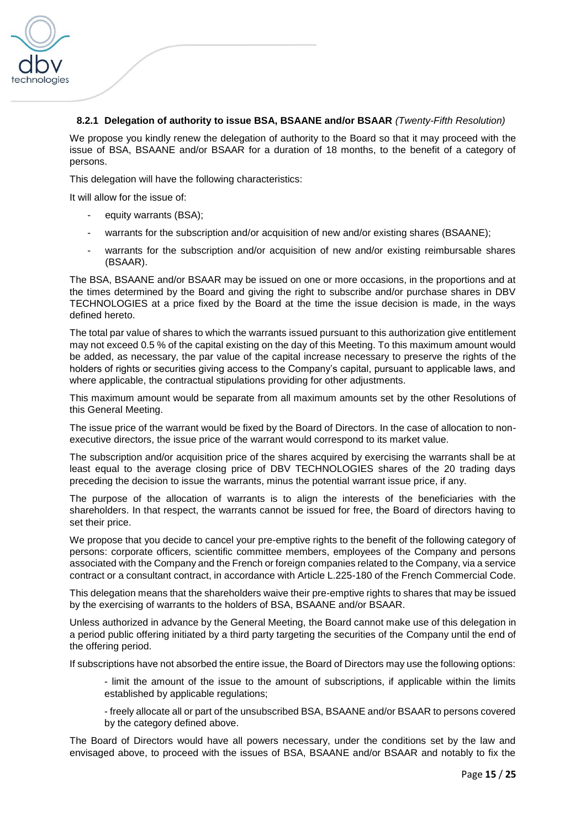

# **8.2.1 Delegation of authority to issue BSA, BSAANE and/or BSAAR** *(Twenty-Fifth Resolution)*

We propose you kindly renew the delegation of authority to the Board so that it may proceed with the issue of BSA, BSAANE and/or BSAAR for a duration of 18 months, to the benefit of a category of persons.

This delegation will have the following characteristics:

It will allow for the issue of:

- equity warrants (BSA);
- warrants for the subscription and/or acquisition of new and/or existing shares (BSAANE);
- warrants for the subscription and/or acquisition of new and/or existing reimbursable shares (BSAAR).

The BSA, BSAANE and/or BSAAR may be issued on one or more occasions, in the proportions and at the times determined by the Board and giving the right to subscribe and/or purchase shares in DBV TECHNOLOGIES at a price fixed by the Board at the time the issue decision is made, in the ways defined hereto.

The total par value of shares to which the warrants issued pursuant to this authorization give entitlement may not exceed 0.5 % of the capital existing on the day of this Meeting. To this maximum amount would be added, as necessary, the par value of the capital increase necessary to preserve the rights of the holders of rights or securities giving access to the Company's capital, pursuant to applicable laws, and where applicable, the contractual stipulations providing for other adjustments.

This maximum amount would be separate from all maximum amounts set by the other Resolutions of this General Meeting.

The issue price of the warrant would be fixed by the Board of Directors. In the case of allocation to nonexecutive directors, the issue price of the warrant would correspond to its market value.

The subscription and/or acquisition price of the shares acquired by exercising the warrants shall be at least equal to the average closing price of DBV TECHNOLOGIES shares of the 20 trading days preceding the decision to issue the warrants, minus the potential warrant issue price, if any.

The purpose of the allocation of warrants is to align the interests of the beneficiaries with the shareholders. In that respect, the warrants cannot be issued for free, the Board of directors having to set their price.

We propose that you decide to cancel your pre-emptive rights to the benefit of the following category of persons: corporate officers, scientific committee members, employees of the Company and persons associated with the Company and the French or foreign companies related to the Company, via a service contract or a consultant contract, in accordance with Article L.225-180 of the French Commercial Code.

This delegation means that the shareholders waive their pre-emptive rights to shares that may be issued by the exercising of warrants to the holders of BSA, BSAANE and/or BSAAR.

Unless authorized in advance by the General Meeting, the Board cannot make use of this delegation in a period public offering initiated by a third party targeting the securities of the Company until the end of the offering period.

If subscriptions have not absorbed the entire issue, the Board of Directors may use the following options:

- limit the amount of the issue to the amount of subscriptions, if applicable within the limits established by applicable regulations;

- freely allocate all or part of the unsubscribed BSA, BSAANE and/or BSAAR to persons covered by the category defined above.

The Board of Directors would have all powers necessary, under the conditions set by the law and envisaged above, to proceed with the issues of BSA, BSAANE and/or BSAAR and notably to fix the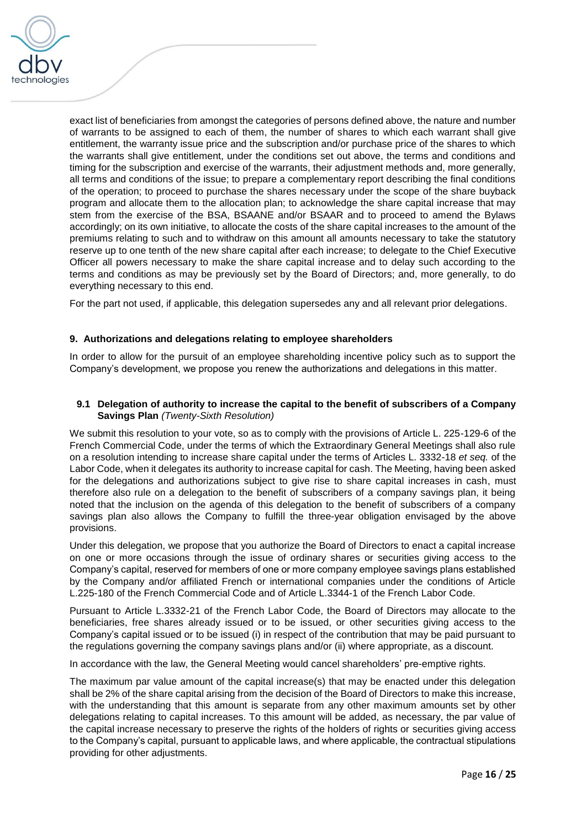

exact list of beneficiaries from amongst the categories of persons defined above, the nature and number of warrants to be assigned to each of them, the number of shares to which each warrant shall give entitlement, the warranty issue price and the subscription and/or purchase price of the shares to which the warrants shall give entitlement, under the conditions set out above, the terms and conditions and timing for the subscription and exercise of the warrants, their adjustment methods and, more generally, all terms and conditions of the issue; to prepare a complementary report describing the final conditions of the operation; to proceed to purchase the shares necessary under the scope of the share buyback program and allocate them to the allocation plan; to acknowledge the share capital increase that may stem from the exercise of the BSA, BSAANE and/or BSAAR and to proceed to amend the Bylaws accordingly; on its own initiative, to allocate the costs of the share capital increases to the amount of the premiums relating to such and to withdraw on this amount all amounts necessary to take the statutory reserve up to one tenth of the new share capital after each increase; to delegate to the Chief Executive Officer all powers necessary to make the share capital increase and to delay such according to the terms and conditions as may be previously set by the Board of Directors; and, more generally, to do everything necessary to this end.

For the part not used, if applicable, this delegation supersedes any and all relevant prior delegations.

### **9. Authorizations and delegations relating to employee shareholders**

In order to allow for the pursuit of an employee shareholding incentive policy such as to support the Company's development, we propose you renew the authorizations and delegations in this matter.

### **9.1 Delegation of authority to increase the capital to the benefit of subscribers of a Company Savings Plan** *(Twenty-Sixth Resolution)*

We submit this resolution to your vote, so as to comply with the provisions of Article L. 225-129-6 of the French Commercial Code, under the terms of which the Extraordinary General Meetings shall also rule on a resolution intending to increase share capital under the terms of Articles L. 3332-18 *et seq.* of the Labor Code, when it delegates its authority to increase capital for cash. The Meeting, having been asked for the delegations and authorizations subject to give rise to share capital increases in cash, must therefore also rule on a delegation to the benefit of subscribers of a company savings plan, it being noted that the inclusion on the agenda of this delegation to the benefit of subscribers of a company savings plan also allows the Company to fulfill the three-year obligation envisaged by the above provisions.

Under this delegation, we propose that you authorize the Board of Directors to enact a capital increase on one or more occasions through the issue of ordinary shares or securities giving access to the Company's capital, reserved for members of one or more company employee savings plans established by the Company and/or affiliated French or international companies under the conditions of Article L.225-180 of the French Commercial Code and of Article L.3344-1 of the French Labor Code.

Pursuant to Article L.3332-21 of the French Labor Code, the Board of Directors may allocate to the beneficiaries, free shares already issued or to be issued, or other securities giving access to the Company's capital issued or to be issued (i) in respect of the contribution that may be paid pursuant to the regulations governing the company savings plans and/or (ii) where appropriate, as a discount.

In accordance with the law, the General Meeting would cancel shareholders' pre-emptive rights.

The maximum par value amount of the capital increase(s) that may be enacted under this delegation shall be 2% of the share capital arising from the decision of the Board of Directors to make this increase, with the understanding that this amount is separate from any other maximum amounts set by other delegations relating to capital increases. To this amount will be added, as necessary, the par value of the capital increase necessary to preserve the rights of the holders of rights or securities giving access to the Company's capital, pursuant to applicable laws, and where applicable, the contractual stipulations providing for other adjustments.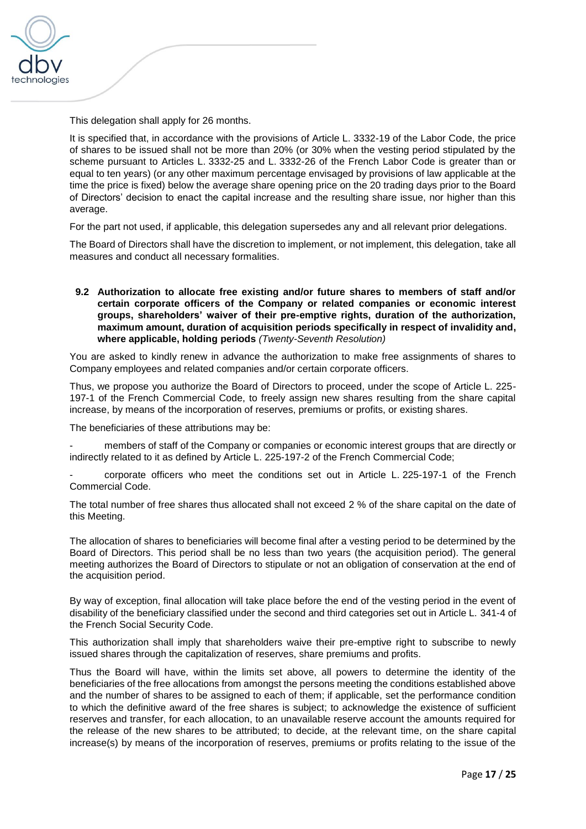

This delegation shall apply for 26 months.

It is specified that, in accordance with the provisions of Article L. 3332-19 of the Labor Code, the price of shares to be issued shall not be more than 20% (or 30% when the vesting period stipulated by the scheme pursuant to Articles L. 3332-25 and L. 3332-26 of the French Labor Code is greater than or equal to ten years) (or any other maximum percentage envisaged by provisions of law applicable at the time the price is fixed) below the average share opening price on the 20 trading days prior to the Board of Directors' decision to enact the capital increase and the resulting share issue, nor higher than this average.

For the part not used, if applicable, this delegation supersedes any and all relevant prior delegations.

The Board of Directors shall have the discretion to implement, or not implement, this delegation, take all measures and conduct all necessary formalities.

**9.2 Authorization to allocate free existing and/or future shares to members of staff and/or certain corporate officers of the Company or related companies or economic interest groups, shareholders' waiver of their pre-emptive rights, duration of the authorization, maximum amount, duration of acquisition periods specifically in respect of invalidity and, where applicable, holding periods** *(Twenty-Seventh Resolution)*

You are asked to kindly renew in advance the authorization to make free assignments of shares to Company employees and related companies and/or certain corporate officers.

Thus, we propose you authorize the Board of Directors to proceed, under the scope of Article L. 225- 197-1 of the French Commercial Code, to freely assign new shares resulting from the share capital increase, by means of the incorporation of reserves, premiums or profits, or existing shares.

The beneficiaries of these attributions may be:

members of staff of the Company or companies or economic interest groups that are directly or indirectly related to it as defined by Article L. 225-197-2 of the French Commercial Code;

- corporate officers who meet the conditions set out in Article L. 225-197-1 of the French Commercial Code.

The total number of free shares thus allocated shall not exceed 2 % of the share capital on the date of this Meeting.

The allocation of shares to beneficiaries will become final after a vesting period to be determined by the Board of Directors. This period shall be no less than two years (the acquisition period). The general meeting authorizes the Board of Directors to stipulate or not an obligation of conservation at the end of the acquisition period.

By way of exception, final allocation will take place before the end of the vesting period in the event of disability of the beneficiary classified under the second and third categories set out in Article L. 341-4 of the French Social Security Code.

This authorization shall imply that shareholders waive their pre-emptive right to subscribe to newly issued shares through the capitalization of reserves, share premiums and profits.

Thus the Board will have, within the limits set above, all powers to determine the identity of the beneficiaries of the free allocations from amongst the persons meeting the conditions established above and the number of shares to be assigned to each of them; if applicable, set the performance condition to which the definitive award of the free shares is subject; to acknowledge the existence of sufficient reserves and transfer, for each allocation, to an unavailable reserve account the amounts required for the release of the new shares to be attributed; to decide, at the relevant time, on the share capital increase(s) by means of the incorporation of reserves, premiums or profits relating to the issue of the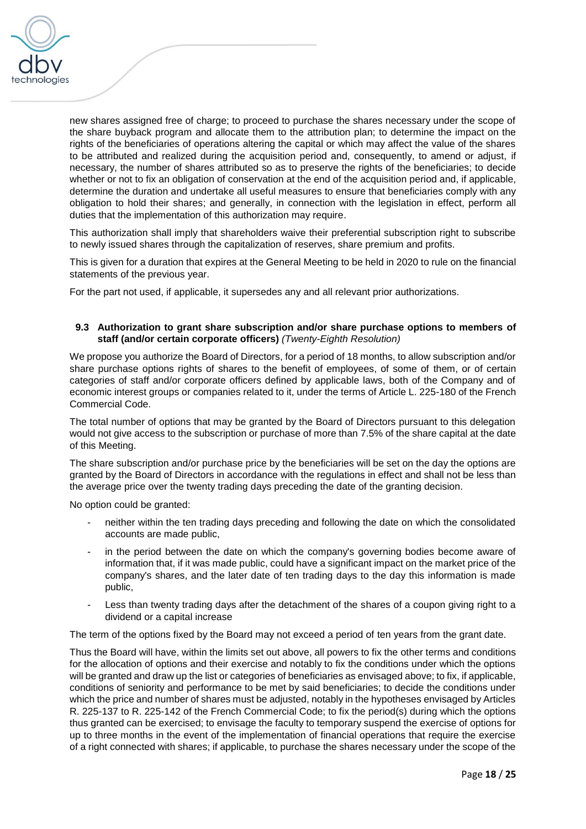

new shares assigned free of charge; to proceed to purchase the shares necessary under the scope of the share buyback program and allocate them to the attribution plan; to determine the impact on the rights of the beneficiaries of operations altering the capital or which may affect the value of the shares to be attributed and realized during the acquisition period and, consequently, to amend or adjust, if necessary, the number of shares attributed so as to preserve the rights of the beneficiaries; to decide whether or not to fix an obligation of conservation at the end of the acquisition period and, if applicable, determine the duration and undertake all useful measures to ensure that beneficiaries comply with any obligation to hold their shares; and generally, in connection with the legislation in effect, perform all duties that the implementation of this authorization may require.

This authorization shall imply that shareholders waive their preferential subscription right to subscribe to newly issued shares through the capitalization of reserves, share premium and profits.

This is given for a duration that expires at the General Meeting to be held in 2020 to rule on the financial statements of the previous year.

For the part not used, if applicable, it supersedes any and all relevant prior authorizations.

### **9.3 Authorization to grant share subscription and/or share purchase options to members of staff (and/or certain corporate officers)** *(Twenty-Eighth Resolution)*

We propose you authorize the Board of Directors, for a period of 18 months, to allow subscription and/or share purchase options rights of shares to the benefit of employees, of some of them, or of certain categories of staff and/or corporate officers defined by applicable laws, both of the Company and of economic interest groups or companies related to it, under the terms of Article L. 225-180 of the French Commercial Code.

The total number of options that may be granted by the Board of Directors pursuant to this delegation would not give access to the subscription or purchase of more than 7.5% of the share capital at the date of this Meeting.

The share subscription and/or purchase price by the beneficiaries will be set on the day the options are granted by the Board of Directors in accordance with the regulations in effect and shall not be less than the average price over the twenty trading days preceding the date of the granting decision.

No option could be granted:

- neither within the ten trading days preceding and following the date on which the consolidated accounts are made public,
- in the period between the date on which the company's governing bodies become aware of information that, if it was made public, could have a significant impact on the market price of the company's shares, and the later date of ten trading days to the day this information is made public,
- Less than twenty trading days after the detachment of the shares of a coupon giving right to a dividend or a capital increase

The term of the options fixed by the Board may not exceed a period of ten years from the grant date.

Thus the Board will have, within the limits set out above, all powers to fix the other terms and conditions for the allocation of options and their exercise and notably to fix the conditions under which the options will be granted and draw up the list or categories of beneficiaries as envisaged above; to fix, if applicable, conditions of seniority and performance to be met by said beneficiaries; to decide the conditions under which the price and number of shares must be adjusted, notably in the hypotheses envisaged by Articles R. 225-137 to R. 225-142 of the French Commercial Code; to fix the period(s) during which the options thus granted can be exercised; to envisage the faculty to temporary suspend the exercise of options for up to three months in the event of the implementation of financial operations that require the exercise of a right connected with shares; if applicable, to purchase the shares necessary under the scope of the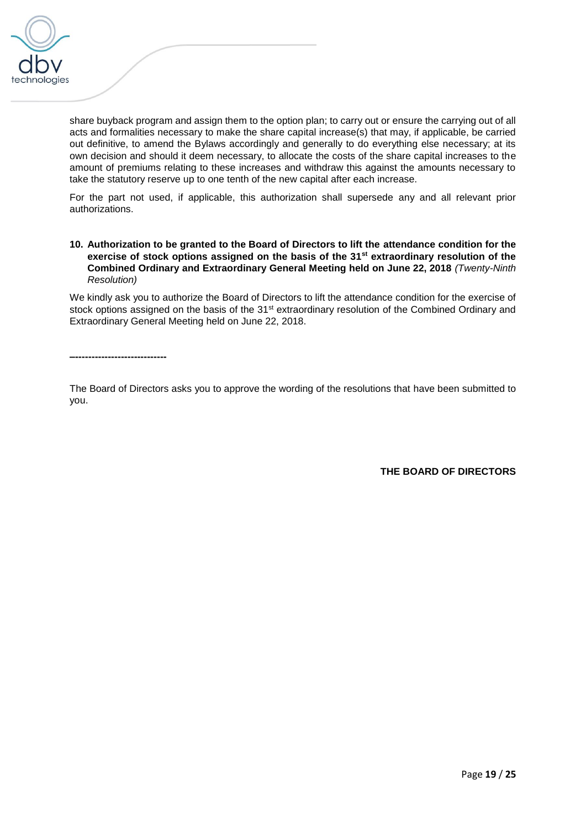

share buyback program and assign them to the option plan; to carry out or ensure the carrying out of all acts and formalities necessary to make the share capital increase(s) that may, if applicable, be carried out definitive, to amend the Bylaws accordingly and generally to do everything else necessary; at its own decision and should it deem necessary, to allocate the costs of the share capital increases to the amount of premiums relating to these increases and withdraw this against the amounts necessary to take the statutory reserve up to one tenth of the new capital after each increase.

For the part not used, if applicable, this authorization shall supersede any and all relevant prior authorizations.

### **10. Authorization to be granted to the Board of Directors to lift the attendance condition for the exercise of stock options assigned on the basis of the 31st extraordinary resolution of the Combined Ordinary and Extraordinary General Meeting held on June 22, 2018** *(Twenty-Ninth Resolution)*

We kindly ask you to authorize the Board of Directors to lift the attendance condition for the exercise of stock options assigned on the basis of the 31<sup>st</sup> extraordinary resolution of the Combined Ordinary and Extraordinary General Meeting held on June 22, 2018.

**–----------------------------**

The Board of Directors asks you to approve the wording of the resolutions that have been submitted to you.

**THE BOARD OF DIRECTORS**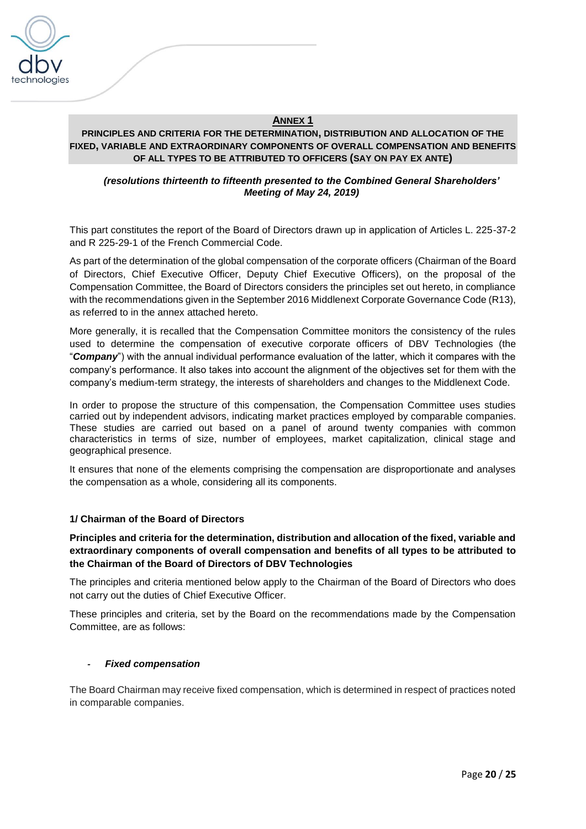

# **ANNEX 1**

# **PRINCIPLES AND CRITERIA FOR THE DETERMINATION, DISTRIBUTION AND ALLOCATION OF THE FIXED, VARIABLE AND EXTRAORDINARY COMPONENTS OF OVERALL COMPENSATION AND BENEFITS OF ALL TYPES TO BE ATTRIBUTED TO OFFICERS (SAY ON PAY EX ANTE)**

### *(resolutions thirteenth to fifteenth presented to the Combined General Shareholders' Meeting of May 24, 2019)*

This part constitutes the report of the Board of Directors drawn up in application of Articles L. 225-37-2 and R 225-29-1 of the French Commercial Code.

As part of the determination of the global compensation of the corporate officers (Chairman of the Board of Directors, Chief Executive Officer, Deputy Chief Executive Officers), on the proposal of the Compensation Committee, the Board of Directors considers the principles set out hereto, in compliance with the recommendations given in the September 2016 Middlenext Corporate Governance Code (R13), as referred to in the annex attached hereto.

More generally, it is recalled that the Compensation Committee monitors the consistency of the rules used to determine the compensation of executive corporate officers of DBV Technologies (the "*Company*") with the annual individual performance evaluation of the latter, which it compares with the company's performance. It also takes into account the alignment of the objectives set for them with the company's medium-term strategy, the interests of shareholders and changes to the Middlenext Code.

In order to propose the structure of this compensation, the Compensation Committee uses studies carried out by independent advisors, indicating market practices employed by comparable companies. These studies are carried out based on a panel of around twenty companies with common characteristics in terms of size, number of employees, market capitalization, clinical stage and geographical presence.

It ensures that none of the elements comprising the compensation are disproportionate and analyses the compensation as a whole, considering all its components.

# **1/ Chairman of the Board of Directors**

### **Principles and criteria for the determination, distribution and allocation of the fixed, variable and extraordinary components of overall compensation and benefits of all types to be attributed to the Chairman of the Board of Directors of DBV Technologies**

The principles and criteria mentioned below apply to the Chairman of the Board of Directors who does not carry out the duties of Chief Executive Officer.

These principles and criteria, set by the Board on the recommendations made by the Compensation Committee, are as follows:

### *- Fixed compensation*

The Board Chairman may receive fixed compensation, which is determined in respect of practices noted in comparable companies.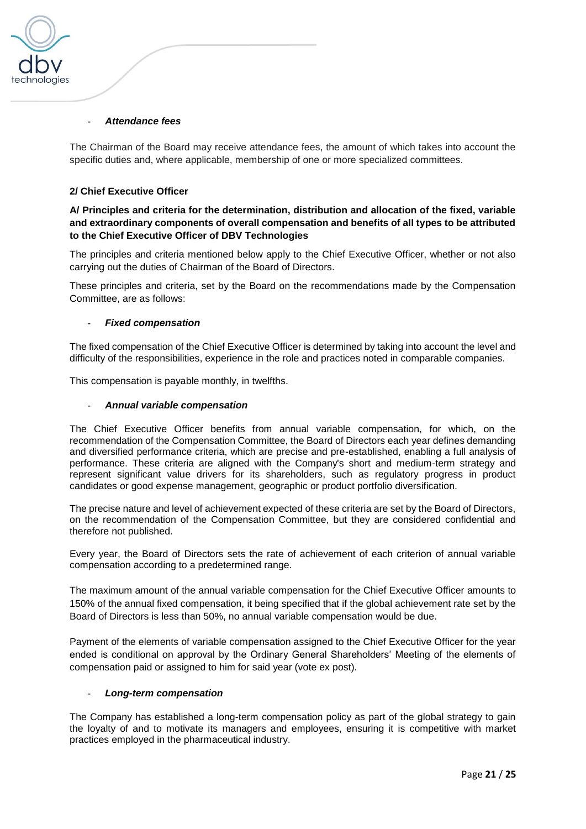

### - *Attendance fees*

The Chairman of the Board may receive attendance fees, the amount of which takes into account the specific duties and, where applicable, membership of one or more specialized committees.

# **2/ Chief Executive Officer**

# **A/ Principles and criteria for the determination, distribution and allocation of the fixed, variable and extraordinary components of overall compensation and benefits of all types to be attributed to the Chief Executive Officer of DBV Technologies**

The principles and criteria mentioned below apply to the Chief Executive Officer, whether or not also carrying out the duties of Chairman of the Board of Directors.

These principles and criteria, set by the Board on the recommendations made by the Compensation Committee, are as follows:

### - *Fixed compensation*

The fixed compensation of the Chief Executive Officer is determined by taking into account the level and difficulty of the responsibilities, experience in the role and practices noted in comparable companies.

This compensation is payable monthly, in twelfths.

### - *Annual variable compensation*

The Chief Executive Officer benefits from annual variable compensation, for which, on the recommendation of the Compensation Committee, the Board of Directors each year defines demanding and diversified performance criteria, which are precise and pre-established, enabling a full analysis of performance. These criteria are aligned with the Company's short and medium-term strategy and represent significant value drivers for its shareholders, such as regulatory progress in product candidates or good expense management, geographic or product portfolio diversification.

The precise nature and level of achievement expected of these criteria are set by the Board of Directors, on the recommendation of the Compensation Committee, but they are considered confidential and therefore not published.

Every year, the Board of Directors sets the rate of achievement of each criterion of annual variable compensation according to a predetermined range.

The maximum amount of the annual variable compensation for the Chief Executive Officer amounts to 150% of the annual fixed compensation, it being specified that if the global achievement rate set by the Board of Directors is less than 50%, no annual variable compensation would be due.

Payment of the elements of variable compensation assigned to the Chief Executive Officer for the year ended is conditional on approval by the Ordinary General Shareholders' Meeting of the elements of compensation paid or assigned to him for said year (vote ex post).

### - *Long-term compensation*

The Company has established a long-term compensation policy as part of the global strategy to gain the loyalty of and to motivate its managers and employees, ensuring it is competitive with market practices employed in the pharmaceutical industry.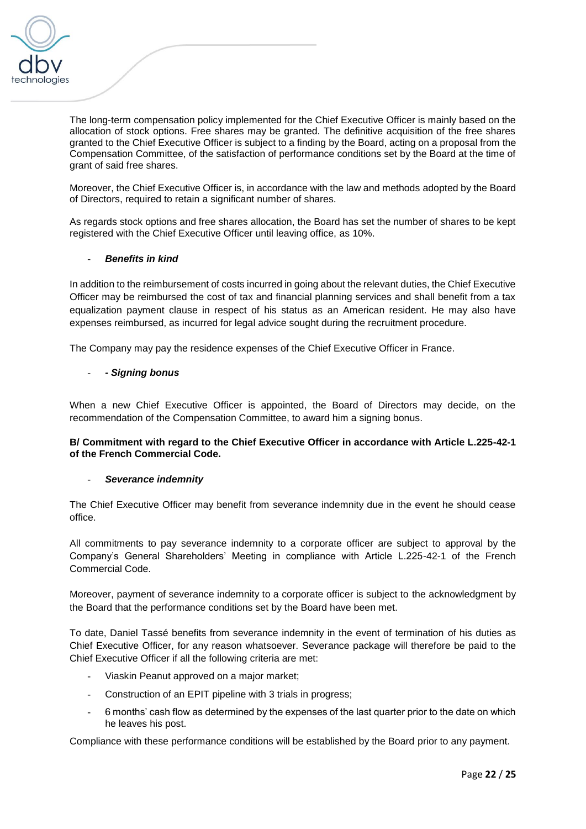

The long-term compensation policy implemented for the Chief Executive Officer is mainly based on the allocation of stock options. Free shares may be granted. The definitive acquisition of the free shares granted to the Chief Executive Officer is subject to a finding by the Board, acting on a proposal from the Compensation Committee, of the satisfaction of performance conditions set by the Board at the time of grant of said free shares.

Moreover, the Chief Executive Officer is, in accordance with the law and methods adopted by the Board of Directors, required to retain a significant number of shares.

As regards stock options and free shares allocation, the Board has set the number of shares to be kept registered with the Chief Executive Officer until leaving office, as 10%.

### - *Benefits in kind*

In addition to the reimbursement of costs incurred in going about the relevant duties, the Chief Executive Officer may be reimbursed the cost of tax and financial planning services and shall benefit from a tax equalization payment clause in respect of his status as an American resident. He may also have expenses reimbursed, as incurred for legal advice sought during the recruitment procedure.

The Company may pay the residence expenses of the Chief Executive Officer in France.

### - *- Signing bonus*

When a new Chief Executive Officer is appointed, the Board of Directors may decide, on the recommendation of the Compensation Committee, to award him a signing bonus.

### **B/ Commitment with regard to the Chief Executive Officer in accordance with Article L.225-42-1 of the French Commercial Code.**

### - *Severance indemnity*

The Chief Executive Officer may benefit from severance indemnity due in the event he should cease office.

All commitments to pay severance indemnity to a corporate officer are subject to approval by the Company's General Shareholders' Meeting in compliance with Article L.225-42-1 of the French Commercial Code.

Moreover, payment of severance indemnity to a corporate officer is subject to the acknowledgment by the Board that the performance conditions set by the Board have been met.

To date, Daniel Tassé benefits from severance indemnity in the event of termination of his duties as Chief Executive Officer, for any reason whatsoever. Severance package will therefore be paid to the Chief Executive Officer if all the following criteria are met:

- Viaskin Peanut approved on a major market;
- Construction of an EPIT pipeline with 3 trials in progress;
- 6 months' cash flow as determined by the expenses of the last quarter prior to the date on which he leaves his post.

Compliance with these performance conditions will be established by the Board prior to any payment.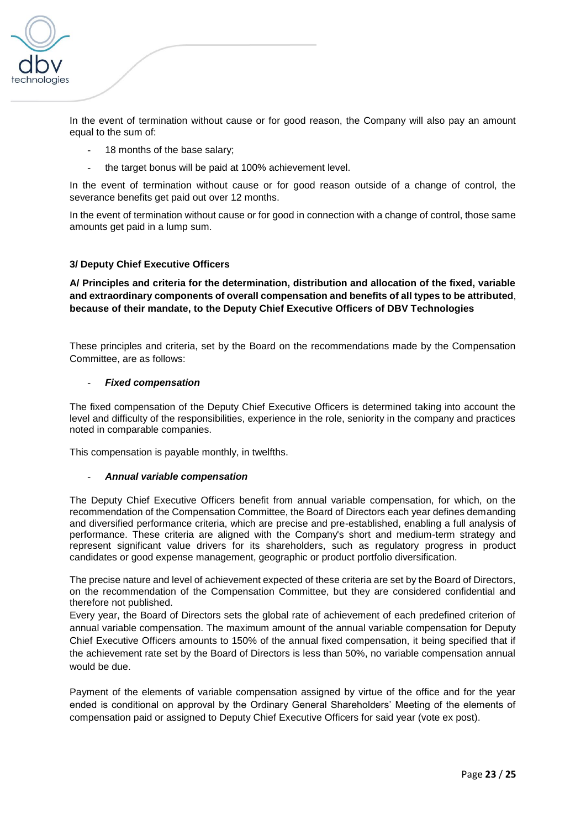

In the event of termination without cause or for good reason, the Company will also pay an amount equal to the sum of:

- 18 months of the base salary;
- the target bonus will be paid at 100% achievement level.

In the event of termination without cause or for good reason outside of a change of control, the severance benefits get paid out over 12 months.

In the event of termination without cause or for good in connection with a change of control, those same amounts get paid in a lump sum.

### **3/ Deputy Chief Executive Officers**

**A/ Principles and criteria for the determination, distribution and allocation of the fixed, variable and extraordinary components of overall compensation and benefits of all types to be attributed**, **because of their mandate, to the Deputy Chief Executive Officers of DBV Technologies** 

These principles and criteria, set by the Board on the recommendations made by the Compensation Committee, are as follows:

### - *Fixed compensation*

The fixed compensation of the Deputy Chief Executive Officers is determined taking into account the level and difficulty of the responsibilities, experience in the role, seniority in the company and practices noted in comparable companies.

This compensation is payable monthly, in twelfths.

### - *Annual variable compensation*

The Deputy Chief Executive Officers benefit from annual variable compensation, for which, on the recommendation of the Compensation Committee, the Board of Directors each year defines demanding and diversified performance criteria, which are precise and pre-established, enabling a full analysis of performance. These criteria are aligned with the Company's short and medium-term strategy and represent significant value drivers for its shareholders, such as regulatory progress in product candidates or good expense management, geographic or product portfolio diversification.

The precise nature and level of achievement expected of these criteria are set by the Board of Directors, on the recommendation of the Compensation Committee, but they are considered confidential and therefore not published.

Every year, the Board of Directors sets the global rate of achievement of each predefined criterion of annual variable compensation. The maximum amount of the annual variable compensation for Deputy Chief Executive Officers amounts to 150% of the annual fixed compensation, it being specified that if the achievement rate set by the Board of Directors is less than 50%, no variable compensation annual would be due.

Payment of the elements of variable compensation assigned by virtue of the office and for the year ended is conditional on approval by the Ordinary General Shareholders' Meeting of the elements of compensation paid or assigned to Deputy Chief Executive Officers for said year (vote ex post).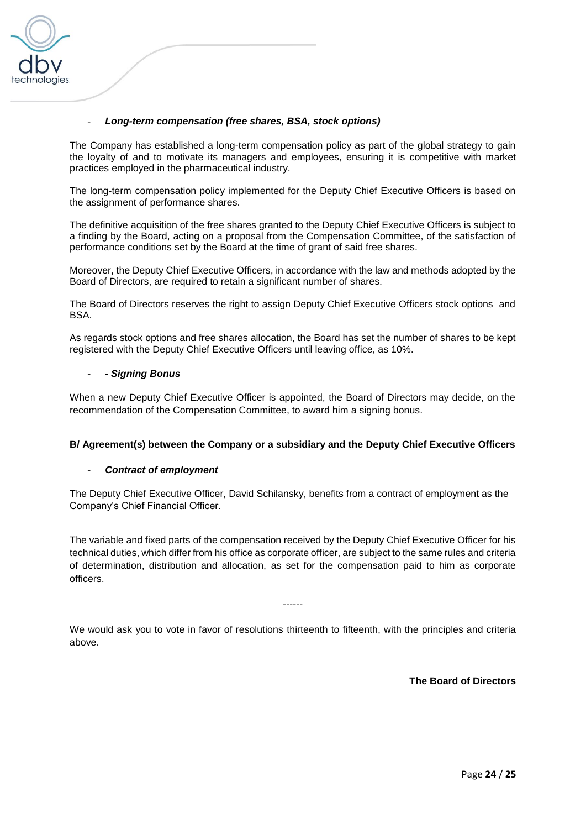

### - *Long-term compensation (free shares, BSA, stock options)*

The Company has established a long-term compensation policy as part of the global strategy to gain the loyalty of and to motivate its managers and employees, ensuring it is competitive with market practices employed in the pharmaceutical industry.

The long-term compensation policy implemented for the Deputy Chief Executive Officers is based on the assignment of performance shares.

The definitive acquisition of the free shares granted to the Deputy Chief Executive Officers is subject to a finding by the Board, acting on a proposal from the Compensation Committee, of the satisfaction of performance conditions set by the Board at the time of grant of said free shares.

Moreover, the Deputy Chief Executive Officers, in accordance with the law and methods adopted by the Board of Directors, are required to retain a significant number of shares.

The Board of Directors reserves the right to assign Deputy Chief Executive Officers stock options and BSA.

As regards stock options and free shares allocation, the Board has set the number of shares to be kept registered with the Deputy Chief Executive Officers until leaving office, as 10%.

### - *- Signing Bonus*

When a new Deputy Chief Executive Officer is appointed, the Board of Directors may decide, on the recommendation of the Compensation Committee, to award him a signing bonus.

### **B/ Agreement(s) between the Company or a subsidiary and the Deputy Chief Executive Officers**

### - *Contract of employment*

The Deputy Chief Executive Officer, David Schilansky, benefits from a contract of employment as the Company's Chief Financial Officer.

The variable and fixed parts of the compensation received by the Deputy Chief Executive Officer for his technical duties, which differ from his office as corporate officer, are subject to the same rules and criteria of determination, distribution and allocation, as set for the compensation paid to him as corporate officers.

We would ask you to vote in favor of resolutions thirteenth to fifteenth, with the principles and criteria above.

------

**The Board of Directors**